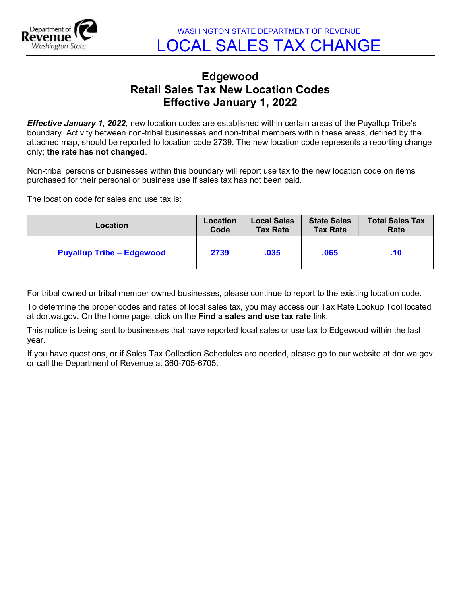

## Edgewood Retail Sales Tax New Location Codes Effective January 1, 2022

**Effective January 1, 2022**, new location codes are established within certain areas of the Puyallup Tribe's boundary. Activity between non-tribal businesses and non-tribal members within these areas, defined by the attached map, should be reported to location code 2739. The new location code represents a reporting change only; the rate has not changed.

Non-tribal persons or businesses within this boundary will report use tax to the new location code on items purchased for their personal or business use if sales tax has not been paid.

The location code for sales and use tax is:

| Location                         | Location | <b>Local Sales</b> | <b>State Sales</b> | <b>Total Sales Tax</b> |
|----------------------------------|----------|--------------------|--------------------|------------------------|
|                                  | Code     | <b>Tax Rate</b>    | <b>Tax Rate</b>    | Rate                   |
| <b>Puyallup Tribe - Edgewood</b> | 2739     | .035               | .065               | .10                    |

For tribal owned or tribal member owned businesses, please continue to report to the existing location code.

To determine the proper codes and rates of local sales tax, you may access our Tax Rate Lookup Tool located at dor.wa.gov. On the home page, click on the Find a sales and use tax rate link.

This notice is being sent to businesses that have reported local sales or use tax to Edgewood within the last year.

If you have questions, or if Sales Tax Collection Schedules are needed, please go to our website at dor.wa.gov or call the Department of Revenue at 360-705-6705.